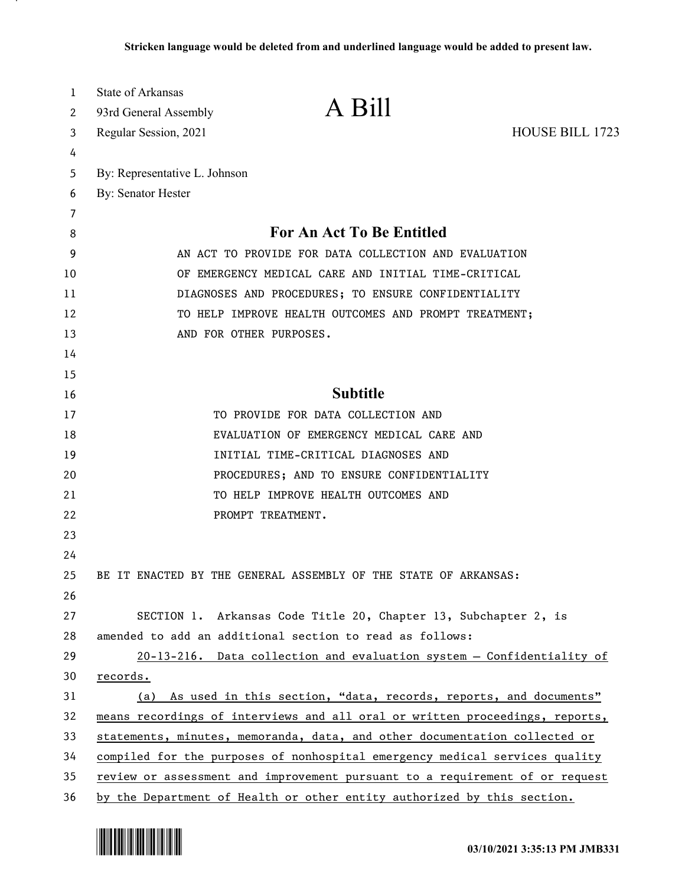| 1        | <b>State of Arkansas</b>                                                                                     |                                                                              |                        |
|----------|--------------------------------------------------------------------------------------------------------------|------------------------------------------------------------------------------|------------------------|
| 2        | 93rd General Assembly                                                                                        | A Bill                                                                       |                        |
| 3        | Regular Session, 2021                                                                                        |                                                                              | <b>HOUSE BILL 1723</b> |
| 4        |                                                                                                              |                                                                              |                        |
| 5        | By: Representative L. Johnson                                                                                |                                                                              |                        |
| 6        | By: Senator Hester                                                                                           |                                                                              |                        |
| 7        |                                                                                                              |                                                                              |                        |
| 8        | For An Act To Be Entitled                                                                                    |                                                                              |                        |
| 9        | AN ACT TO PROVIDE FOR DATA COLLECTION AND EVALUATION                                                         |                                                                              |                        |
| 10       | OF EMERGENCY MEDICAL CARE AND INITIAL TIME-CRITICAL                                                          |                                                                              |                        |
| 11       | DIAGNOSES AND PROCEDURES; TO ENSURE CONFIDENTIALITY<br>TO HELP IMPROVE HEALTH OUTCOMES AND PROMPT TREATMENT; |                                                                              |                        |
| 12       |                                                                                                              |                                                                              |                        |
| 13<br>14 |                                                                                                              | AND FOR OTHER PURPOSES.                                                      |                        |
| 15       |                                                                                                              |                                                                              |                        |
| 16       |                                                                                                              | <b>Subtitle</b>                                                              |                        |
| 17       |                                                                                                              | TO PROVIDE FOR DATA COLLECTION AND                                           |                        |
| 18       |                                                                                                              | EVALUATION OF EMERGENCY MEDICAL CARE AND                                     |                        |
| 19       |                                                                                                              | INITIAL TIME-CRITICAL DIAGNOSES AND                                          |                        |
| 20       |                                                                                                              | PROCEDURES; AND TO ENSURE CONFIDENTIALITY                                    |                        |
| 21       |                                                                                                              | TO HELP IMPROVE HEALTH OUTCOMES AND                                          |                        |
| 22       |                                                                                                              | PROMPT TREATMENT.                                                            |                        |
| 23       |                                                                                                              |                                                                              |                        |
| 24       |                                                                                                              |                                                                              |                        |
| 25       |                                                                                                              | BE IT ENACTED BY THE GENERAL ASSEMBLY OF THE STATE OF ARKANSAS:              |                        |
| 26       |                                                                                                              |                                                                              |                        |
| 27       |                                                                                                              | SECTION 1. Arkansas Code Title 20, Chapter 13, Subchapter 2, is              |                        |
| 28       |                                                                                                              | amended to add an additional section to read as follows:                     |                        |
| 29       |                                                                                                              | 20-13-216. Data collection and evaluation system - Confidentiality of        |                        |
| 30       | records.                                                                                                     |                                                                              |                        |
| 31       |                                                                                                              | (a) As used in this section, "data, records, reports, and documents"         |                        |
| 32       |                                                                                                              | means recordings of interviews and all oral or written proceedings, reports, |                        |
| 33       | statements, minutes, memoranda, data, and other documentation collected or                                   |                                                                              |                        |
| 34       | compiled for the purposes of nonhospital emergency medical services quality                                  |                                                                              |                        |
| 35       |                                                                                                              | review or assessment and improvement pursuant to a requirement of or request |                        |
| 36       |                                                                                                              | by the Department of Health or other entity authorized by this section.      |                        |